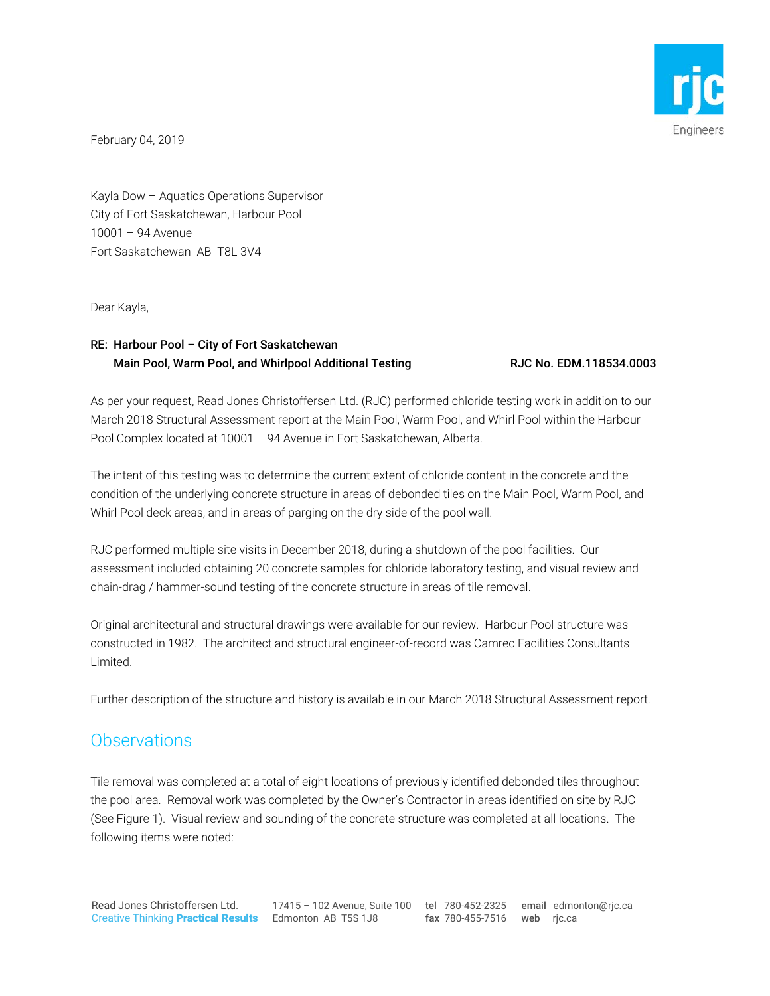

February 04, 2019

Kayla Dow – Aquatics Operations Supervisor City of Fort Saskatchewan, Harbour Pool 10001 – 94 Avenue Fort Saskatchewan AB T8L 3V4

Dear Kayla,

### RE: Harbour Pool – City of Fort Saskatchewan Main Pool, Warm Pool, and Whirlpool Additional Testing Franch RJC No. EDM.118534.0003

As per your request, Read Jones Christoffersen Ltd. (RJC) performed chloride testing work in addition to our March 2018 Structural Assessment report at the Main Pool, Warm Pool, and Whirl Pool within the Harbour Pool Complex located at 10001 – 94 Avenue in Fort Saskatchewan, Alberta.

The intent of this testing was to determine the current extent of chloride content in the concrete and the condition of the underlying concrete structure in areas of debonded tiles on the Main Pool, Warm Pool, and Whirl Pool deck areas, and in areas of parging on the dry side of the pool wall.

RJC performed multiple site visits in December 2018, during a shutdown of the pool facilities. Our assessment included obtaining 20 concrete samples for chloride laboratory testing, and visual review and chain-drag / hammer-sound testing of the concrete structure in areas of tile removal.

Original architectural and structural drawings were available for our review. Harbour Pool structure was constructed in 1982. The architect and structural engineer-of-record was Camrec Facilities Consultants Limited.

Further description of the structure and history is available in our March 2018 Structural Assessment report.

## **Observations**

Tile removal was completed at a total of eight locations of previously identified debonded tiles throughout the pool area. Removal work was completed by the Owner's Contractor in areas identified on site by RJC (See Figure 1). Visual review and sounding of the concrete structure was completed at all locations. The following items were noted: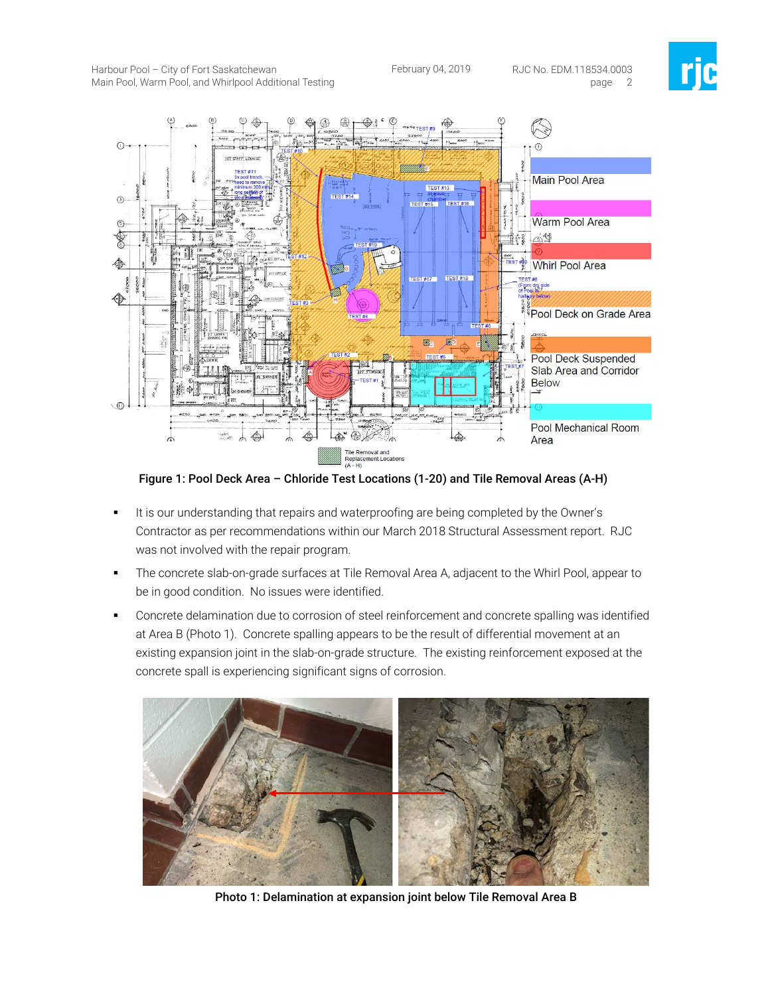



Figure 1: Pool Deck Area – Chloride Test Locations (1-20) and Tile Removal Areas (A-H)

- It is our understanding that repairs and waterproofing are being completed by the Owner's Contractor as per recommendations within our March 2018 Structural Assessment report. RJC was not involved with the repair program.
- The concrete slab-on-grade surfaces at Tile Removal Area A, adjacent to the Whirl Pool, appear to be in good condition. No issues were identified.
- Concrete delamination due to corrosion of steel reinforcement and concrete spalling was identified at Area B (Photo 1). Concrete spalling appears to be the result of differential movement at an existing expansion joint in the slab-on-grade structure. The existing reinforcement exposed at the concrete spall is experiencing significant signs of corrosion.



Photo 1: Delamination at expansion joint below Tile Removal Area B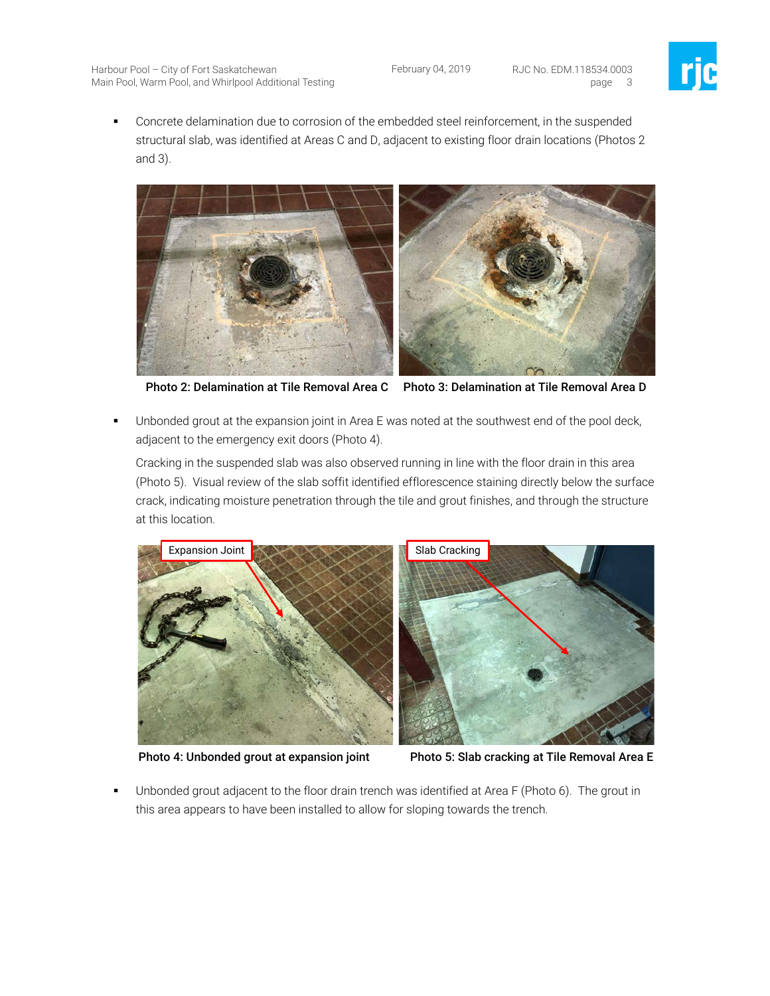

 Concrete delamination due to corrosion of the embedded steel reinforcement, in the suspended structural slab, was identified at Areas C and D, adjacent to existing floor drain locations (Photos 2 and 3).





 Unbonded grout at the expansion joint in Area E was noted at the southwest end of the pool deck, adjacent to the emergency exit doors (Photo 4).

Cracking in the suspended slab was also observed running in line with the floor drain in this area (Photo 5). Visual review of the slab soffit identified efflorescence staining directly below the surface crack, indicating moisture penetration through the tile and grout finishes, and through the structure at this location.



Photo 4: Unbonded grout at expansion joint Photo 5: Slab cracking at Tile Removal Area E

 Unbonded grout adjacent to the floor drain trench was identified at Area F (Photo 6). The grout in this area appears to have been installed to allow for sloping towards the trench.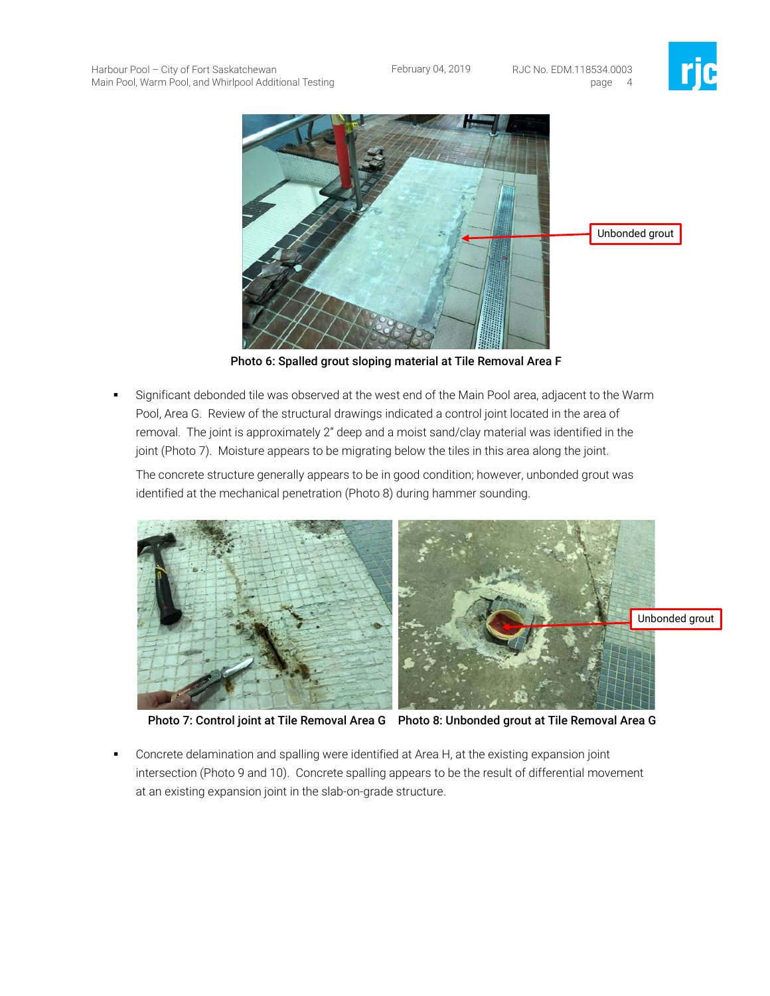



Photo 6: Spalled grout sloping material at Tile Removal Area F

 Significant debonded tile was observed at the west end of the Main Pool area, adjacent to the Warm Pool, Area G. Review of the structural drawings indicated a control joint located in the area of removal. The joint is approximately 2" deep and a moist sand/clay material was identified in the joint (Photo 7). Moisture appears to be migrating below the tiles in this area along the joint.

The concrete structure generally appears to be in good condition; however, unbonded grout was identified at the mechanical penetration (Photo 8) during hammer sounding.



Photo 7: Control joint at Tile Removal Area G Photo 8: Unbonded grout at Tile Removal Area G

 Concrete delamination and spalling were identified at Area H, at the existing expansion joint intersection (Photo 9 and 10). Concrete spalling appears to be the result of differential movement at an existing expansion joint in the slab-on-grade structure.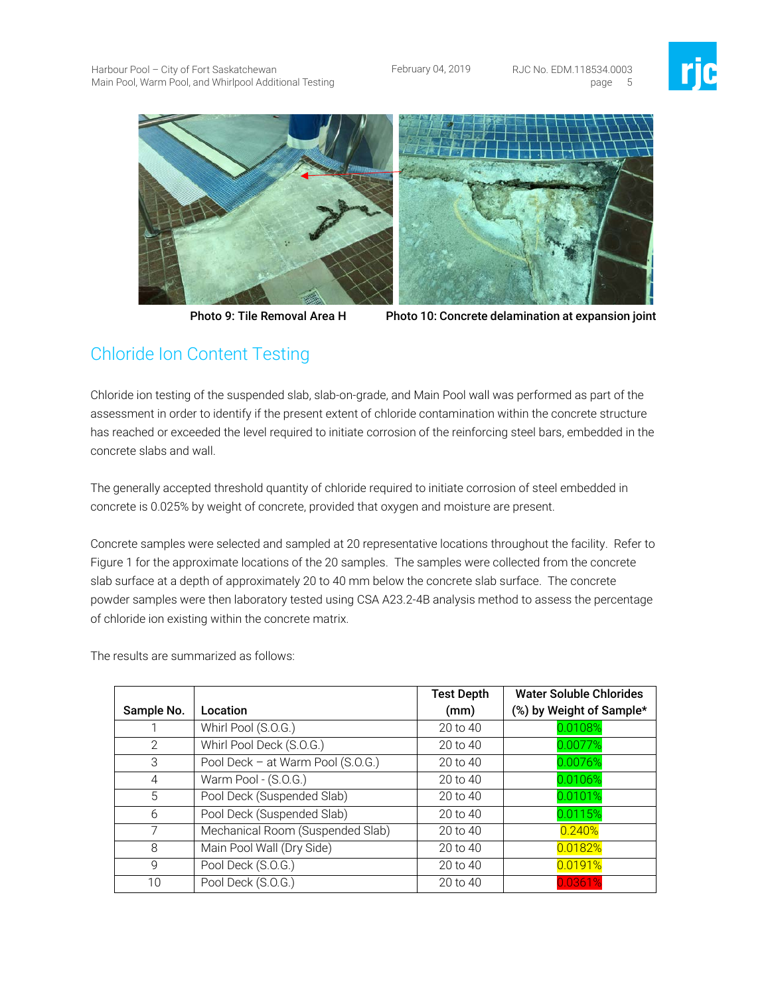



Photo 9: Tile Removal Area H Photo 10: Concrete delamination at expansion joint

# Chloride Ion Content Testing

Chloride ion testing of the suspended slab, slab-on-grade, and Main Pool wall was performed as part of the assessment in order to identify if the present extent of chloride contamination within the concrete structure has reached or exceeded the level required to initiate corrosion of the reinforcing steel bars, embedded in the concrete slabs and wall.

The generally accepted threshold quantity of chloride required to initiate corrosion of steel embedded in concrete is 0.025% by weight of concrete, provided that oxygen and moisture are present.

Concrete samples were selected and sampled at 20 representative locations throughout the facility. Refer to Figure 1 for the approximate locations of the 20 samples. The samples were collected from the concrete slab surface at a depth of approximately 20 to 40 mm below the concrete slab surface. The concrete powder samples were then laboratory tested using CSA A23.2-4B analysis method to assess the percentage of chloride ion existing within the concrete matrix.

The results are summarized as follows:

|              |                                   | <b>Test Depth</b> | <b>Water Soluble Chlorides</b> |
|--------------|-----------------------------------|-------------------|--------------------------------|
| Sample No.   | Location                          | (mm)              | (%) by Weight of Sample*       |
|              | Whirl Pool (S.O.G.)               | $20$ to $40$      | 0.0108%                        |
| 2            | Whirl Pool Deck (S.O.G.)          | 20 to 40          | 0.0077%                        |
| 3            | Pool Deck - at Warm Pool (S.O.G.) | 20 to 40          | 0.0076%                        |
| 4            | Warm Pool - (S.O.G.)              | 20 to 40          | 0.0106%                        |
| 5            | Pool Deck (Suspended Slab)        | $20$ to $40$      | 0.0101%                        |
| 6            | Pool Deck (Suspended Slab)        | $20$ to $40$      | 0.0115%                        |
|              | Mechanical Room (Suspended Slab)  | 20 to 40          | 0.240%                         |
| 8            | Main Pool Wall (Dry Side)         | 20 to 40          | 0.0182%                        |
| $\mathsf{Q}$ | Pool Deck (S.O.G.)                | $20$ to $40$      | 0.0191%                        |
| 10           | Pool Deck (S.O.G.)                | $20$ to $40$      | 0.0361%                        |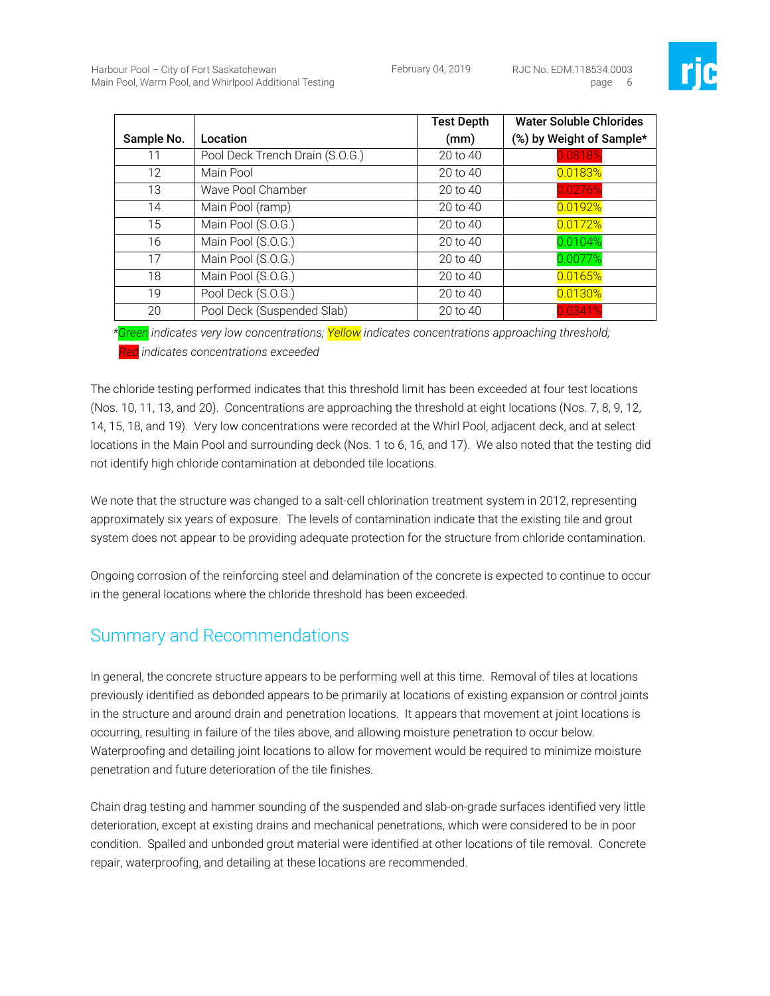

|            |                                 | <b>Test Depth</b> | <b>Water Soluble Chlorides</b> |
|------------|---------------------------------|-------------------|--------------------------------|
| Sample No. | Location                        | (mm)              | (%) by Weight of Sample*       |
| 11         | Pool Deck Trench Drain (S.O.G.) | 20 to 40          | 0.0818%                        |
| 12         | Main Pool                       | 20 to 40          | 0.0183%                        |
| 13         | Wave Pool Chamber               | 20 to 40          | 0.0276%                        |
| 14         | Main Pool (ramp)                | 20 to 40          | 0.0192%                        |
| 15         | Main Pool (S.O.G.)              | 20 to 40          | 0.0172%                        |
| 16         | Main Pool (S.O.G.)              | $20$ to $40$      | 0.0104%                        |
| 17         | Main Pool (S.O.G.)              | 20 to 40          | 0.0077%                        |
| 18         | Main Pool (S.O.G.)              | $20$ to $40$      | 0.0165%                        |
| 19         | Pool Deck (S.O.G.)              | 20 to 40          | 0.0130%                        |
| 20         | Pool Deck (Suspended Slab)      | 20 to 40          | 0.0341%                        |

*\*Green indicates very low concentrations; Yellow indicates concentrations approaching threshold; Red indicates concentrations exceeded*

The chloride testing performed indicates that this threshold limit has been exceeded at four test locations (Nos. 10, 11, 13, and 20). Concentrations are approaching the threshold at eight locations (Nos. 7, 8, 9, 12, 14, 15, 18, and 19). Very low concentrations were recorded at the Whirl Pool, adjacent deck, and at select locations in the Main Pool and surrounding deck (Nos. 1 to 6, 16, and 17). We also noted that the testing did not identify high chloride contamination at debonded tile locations.

We note that the structure was changed to a salt-cell chlorination treatment system in 2012, representing approximately six years of exposure. The levels of contamination indicate that the existing tile and grout system does not appear to be providing adequate protection for the structure from chloride contamination.

Ongoing corrosion of the reinforcing steel and delamination of the concrete is expected to continue to occur in the general locations where the chloride threshold has been exceeded.

## Summary and Recommendations

In general, the concrete structure appears to be performing well at this time. Removal of tiles at locations previously identified as debonded appears to be primarily at locations of existing expansion or control joints in the structure and around drain and penetration locations. It appears that movement at joint locations is occurring, resulting in failure of the tiles above, and allowing moisture penetration to occur below. Waterproofing and detailing joint locations to allow for movement would be required to minimize moisture penetration and future deterioration of the tile finishes.

Chain drag testing and hammer sounding of the suspended and slab-on-grade surfaces identified very little deterioration, except at existing drains and mechanical penetrations, which were considered to be in poor condition. Spalled and unbonded grout material were identified at other locations of tile removal. Concrete repair, waterproofing, and detailing at these locations are recommended.